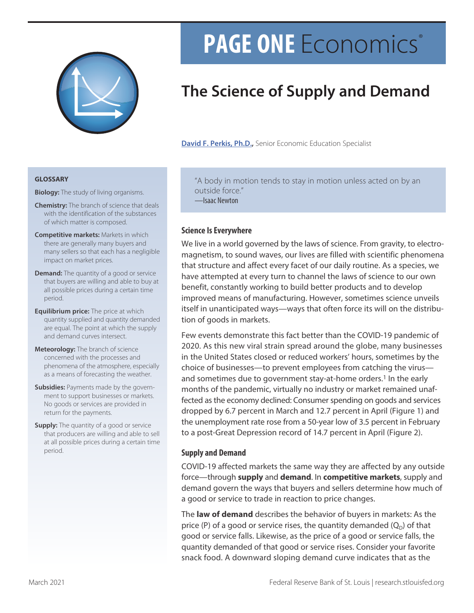

# **PAGE ONE** Economics®

## **The Science of Supply and Demand**

**[David F. Perkis, Ph.D.](https://research.stlouisfed.org/staff/perkis/),** Senior Economic Education Specialist

#### **GLOSSARY**

- **Biology:** The study of living organisms.
- **Chemistry:** The branch of science that deals with the identification of the substances of which matter is composed.
- **Competitive markets:** Markets in which there are generally many buyers and many sellers so that each has a negligible impact on market prices.
- **Demand:** The quantity of a good or service that buyers are willing and able to buy at all possible prices during a certain time period.
- **Equilibrium price:** The price at which quantity supplied and quantity demanded are equal. The point at which the supply and demand curves intersect.
- **Meteorology:** The branch of science concerned with the processes and phenomena of the atmosphere, especially as a means of forecasting the weather.
- **Subsidies: Payments made by the govern**ment to support businesses or markets. No goods or services are provided in return for the payments.
- **Supply:** The quantity of a good or service that producers are willing and able to sell at all possible prices during a certain time period.

"A body in motion tends to stay in motion unless acted on by an outside force."

—Isaac Newton

## **Science Is Everywhere**

We live in a world governed by the laws of science. From gravity, to electromagnetism, to sound waves, our lives are filled with scientific phenomena that structure and affect every facet of our daily routine. As a species, we have attempted at every turn to channel the laws of science to our own benefit, constantly working to build better products and to develop improved means of manufacturing. However, sometimes science unveils itself in unanticipated ways—ways that often force its will on the distribution of goods in markets.

Few events demonstrate this fact better than the COVID-19 pandemic of 2020. As this new viral strain spread around the globe, many businesses in the United States closed or reduced workers' hours, sometimes by the choice of businesses—to prevent employees from catching the virus and sometimes due to government stay-at-home orders.<sup>1</sup> In the early months of the pandemic, virtually no industry or market remained unaffected as the economy declined: Consumer spending on goods and services dropped by 6.7 percent in March and 12.7 percent in April (Figure 1) and the unemployment rate rose from a 50-year low of 3.5 percent in February to a post-Great Depression record of 14.7 percent in April (Figure 2).

### **Supply and Demand**

COVID-19 affected markets the same way they are affected by any outside force—through **supply** and **demand**. In **competitive markets**, supply and demand govern the ways that buyers and sellers determine how much of a good or service to trade in reaction to price changes.

The **law of demand** describes the behavior of buyers in markets: As the price (P) of a good or service rises, the quantity demanded  $(Q_D)$  of that good or service falls. Likewise, as the price of a good or service falls, the quantity demanded of that good or service rises. Consider your favorite snack food. A downward sloping demand curve indicates that as the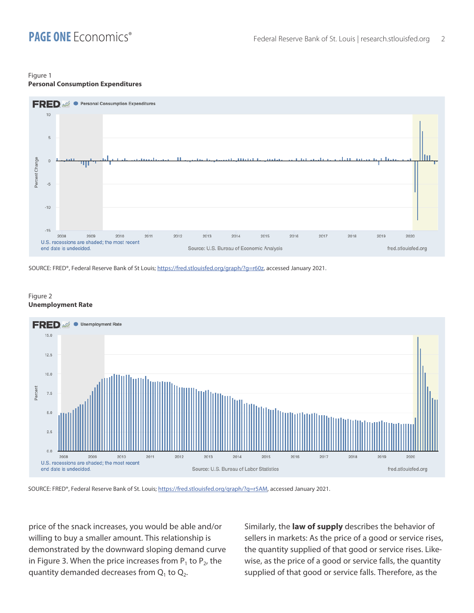#### Figure 1 **Personal Consumption Expenditures**



SOURCE: FRED®, Federal Reserve Bank of St Louis; [https://fred.stlouisfed.org/graph/?g=r60z,](https://fred.stlouisfed.org/graph/?g=r60z) accessed January 2021.

#### Figure 2 **Unemployment Rate**



SOURCE: FRED®, Federal Reserve Bank of St. Louis; [https://fred.stlouisfed.org/graph/?g=r5AM,](https://fred.stlouisfed.org/graph/?g=r5AM) accessed January 2021.

price of the snack increases, you would be able and/or willing to buy a smaller amount. This relationship is demonstrated by the downward sloping demand curve in Figure 3. When the price increases from  $P_1$  to  $P_2$ , the quantity demanded decreases from  $Q_1$  to  $Q_2$ .

Similarly, the **law of supply** describes the behavior of sellers in markets: As the price of a good or service rises, the quantity supplied of that good or service rises. Likewise, as the price of a good or service falls, the quantity supplied of that good or service falls. Therefore, as the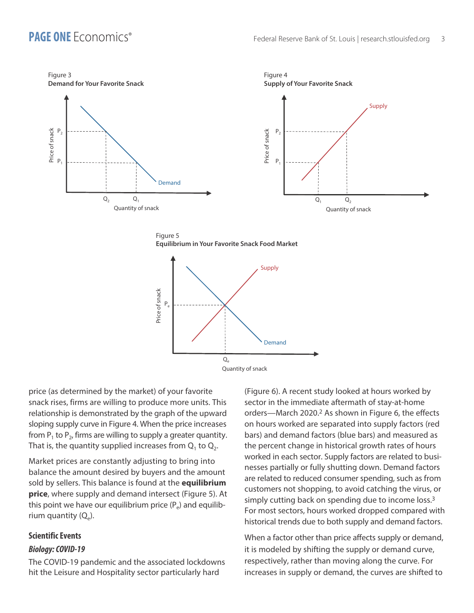

Figure 5 **Equilibrium in Your Favorite Snack Food Market**



price (as determined by the market) of your favorite snack rises, firms are willing to produce more units. This relationship is demonstrated by the graph of the upward sloping supply curve in Figure 4. When the price increases from  $P_1$  to  $P_2$ , firms are willing to supply a greater quantity. That is, the quantity supplied increases from  $Q_1$  to  $Q_2$ .

Market prices are constantly adjusting to bring into balance the amount desired by buyers and the amount sold by sellers. This balance is found at the **equilibrium price**, where supply and demand intersect (Figure 5). At this point we have our equilibrium price  $(P_e)$  and equilibrium quantity  $(Q_e)$ .

#### **Scientific Events**

#### *Biology: COVID-19*

The COVID-19 pandemic and the associated lockdowns hit the Leisure and Hospitality sector particularly hard

(Figure 6). A recent study looked at hours worked by sector in the immediate aftermath of stay-at-home orders—March 2020.2 As shown in Figure 6, the effects on hours worked are separated into supply factors (red bars) and demand factors (blue bars) and measured as the percent change in historical growth rates of hours worked in each sector. Supply factors are related to businesses partially or fully shutting down. Demand factors are related to reduced consumer spending, such as from customers not shopping, to avoid catching the virus, or simply cutting back on spending due to income loss.<sup>3</sup> For most sectors, hours worked dropped compared with historical trends due to both supply and demand factors.

When a factor other than price affects supply or demand, it is modeled by shifting the supply or demand curve, respectively, rather than moving along the curve. For increases in supply or demand, the curves are shifted to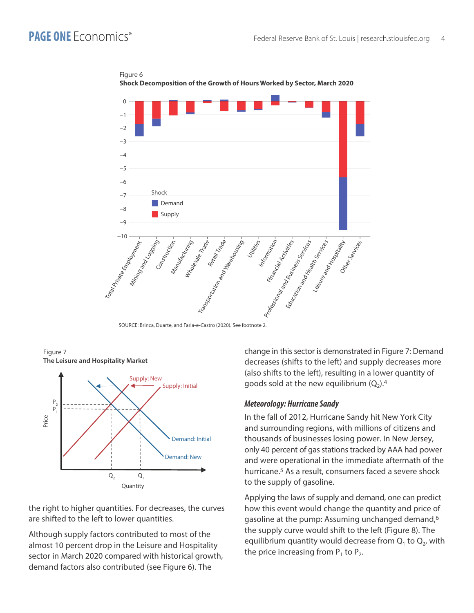

Figure 6 **Shock Decomposition of the Growth of Hours Worked by Sector, March 2020**

SOURCE: Brinca, Duarte, and Faria-e-Castro (2020). See footnote 2.



Figure 7 **The Leisure and Hospitality Market**

the right to higher quantities. For decreases, the curves are shifted to the left to lower quantities.

Although supply factors contributed to most of the almost 10 percent drop in the Leisure and Hospitality sector in March 2020 compared with historical growth, demand factors also contributed (see Figure 6). The

change in this sector is demonstrated in Figure 7: Demand decreases (shifts to the left) and supply decreases more (also shifts to the left), resulting in a lower quantity of goods sold at the new equilibrium  $(Q_2)$ .<sup>4</sup>

#### *Meteorology: Hurricane Sandy*

In the fall of 2012, Hurricane Sandy hit New York City and surrounding regions, with millions of citizens and thousands of businesses losing power. In New Jersey, only 40 percent of gas stations tracked by AAA had power and were operational in the immediate aftermath of the hurricane.<sup>5</sup> As a result, consumers faced a severe shock to the supply of gasoline.

Applying the laws of supply and demand, one can predict how this event would change the quantity and price of gasoline at the pump: Assuming unchanged demand,<sup>6</sup> the supply curve would shift to the left (Figure 8). The equilibrium quantity would decrease from  $Q_1$  to  $Q_2$ , with the price increasing from  $P_1$  to  $P_2$ .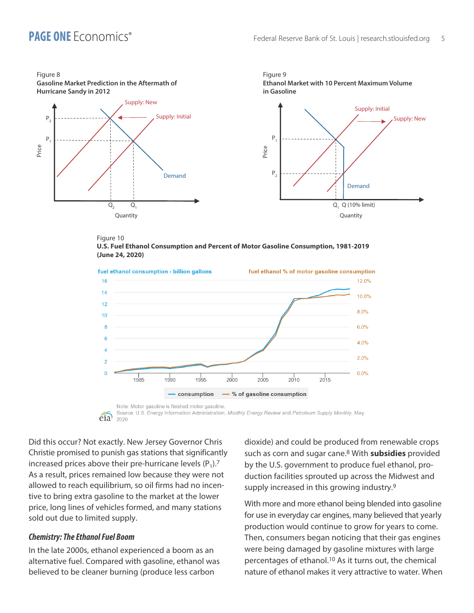

#### Figure 10 **U.S. Fuel Ethanol Consumption and Percent of Motor Gasoline Consumption, 1981-2019 (June 24, 2020)**





Did this occur? Not exactly. New Jersey Governor Chris Christie promised to punish gas stations that significantly increased prices above their pre-hurricane levels  $(P_1)$ .<sup>7</sup> As a result, prices remained low because they were not allowed to reach equilibrium, so oil firms had no incentive to bring extra gasoline to the market at the lower price, long lines of vehicles formed, and many stations sold out due to limited supply.

#### *Chemistry: The Ethanol Fuel Boom*

In the late 2000s, ethanol experienced a boom as an alternative fuel. Compared with gasoline, ethanol was believed to be cleaner burning (produce less carbon

dioxide) and could be produced from renewable crops such as corn and sugar cane.8 With **subsidies** provided by the U.S. government to produce fuel ethanol, production facilities sprouted up across the Midwest and supply increased in this growing industry.<sup>9</sup>

With more and more ethanol being blended into gasoline for use in everyday car engines, many believed that yearly production would continue to grow for years to come. Then, consumers began noticing that their gas engines were being damaged by gasoline mixtures with large percentages of ethanol.10 As it turns out, the chemical nature of ethanol makes it very attractive to water. When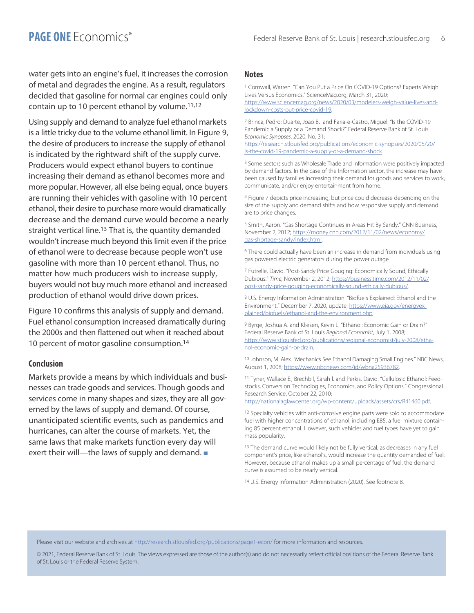water gets into an engine's fuel, it increases the corrosion of metal and degrades the engine. As a result, regulators decided that gasoline for normal car engines could only contain up to 10 percent ethanol by volume.11,12

Using supply and demand to analyze fuel ethanol markets is a little tricky due to the volume ethanol limit. In Figure 9, the desire of producers to increase the supply of ethanol is indicated by the rightward shift of the supply curve. Producers would expect ethanol buyers to continue increasing their demand as ethanol becomes more and more popular. However, all else being equal, once buyers are running their vehicles with gasoline with 10 percent ethanol, their desire to purchase more would dramatically decrease and the demand curve would become a nearly straight vertical line.<sup>13</sup> That is, the quantity demanded wouldn't increase much beyond this limit even if the price of ethanol were to decrease because people won't use gasoline with more than 10 percent ethanol. Thus, no matter how much producers wish to increase supply, buyers would not buy much more ethanol and increased production of ethanol would drive down prices.

Figure 10 confirms this analysis of supply and demand. Fuel ethanol consumption increased dramatically during the 2000s and then flattened out when it reached about 10 percent of motor gasoline consumption.<sup>14</sup>

#### **Conclusion**

Markets provide a means by which individuals and businesses can trade goods and services. Though goods and services come in many shapes and sizes, they are all governed by the laws of supply and demand. Of course, unanticipated scientific events, such as pandemics and hurricanes, can alter the course of markets. Yet, the same laws that make markets function every day will exert their will—the laws of supply and demand.  $\blacksquare$ 

#### **Notes**

1 Cornwall, Warren. "Can You Put a Price On COVID-19 Options? Experts Weigh Lives Versus Economics." ScienceMag.org, March 31, 2020; [https://www.sciencemag.org/news/2020/03/modelers-weigh-value-lives-and](https://www.sciencemag.org/news/2020/03/modelers-weigh-value-lives-and-lockdown-costs-put-price-covid-19)[lockdown-costs-put-price-covid-19](https://www.sciencemag.org/news/2020/03/modelers-weigh-value-lives-and-lockdown-costs-put-price-covid-19).

2 Brinca, Pedro; Duarte, Joao B. and Faria-e-Castro, Miguel. "Is the COVID-19 Pandemic a Supply or a Demand Shock?" Federal Reserve Bank of St. Louis *Economic Synopses*, 2020, No. 31;

[https://research.stlouisfed.org/publications/economic-synopses/2020/05/20/](https://research.stlouisfed.org/publications/economic-synopses/2020/05/20/is-the-covid-19-pandemic-a-supply-or-a-demand-shock) [is-the-covid-19-pandemic-a-supply-or-a-demand-shock](https://research.stlouisfed.org/publications/economic-synopses/2020/05/20/is-the-covid-19-pandemic-a-supply-or-a-demand-shock).

<sup>3</sup> Some sectors such as Wholesale Trade and Information were positively impacted by demand factors. In the case of the Information sector, the increase may have been caused by families increasing their demand for goods and services to work, communicate, and/or enjoy entertainment from home.

4 Figure 7 depicts price increasing, but price could decrease depending on the size of the supply and demand shifts and how responsive supply and demand are to price changes.

5 Smith, Aaron. "Gas Shortage Continues in Areas Hit By Sandy." CNN Business, November 2, 2012; [https://money.cnn.com/2012/11/02/news/economy/](https://money.cnn.com/2012/11/02/news/economy/gas-shortage-sandy/index.html) [gas-shortage-sandy/index.html.](https://money.cnn.com/2012/11/02/news/economy/gas-shortage-sandy/index.html)

6 There could actually have been an increase in demand from individuals using gas powered electric generators during the power outage.

7 Futrelle, David. "Post-Sandy Price Gouging: Economically Sound, Ethically Dubious." *Time*, November 2, 2012; [https://business.time.com/2012/11/02/](https://business.time.com/2012/11/02/post-sandy-price-gouging-economically-sound-ethically-dubious/) [post-sandy-price-gouging-economically-sound-ethically-dubious/](https://business.time.com/2012/11/02/post-sandy-price-gouging-economically-sound-ethically-dubious/).

8 U.S. Energy Information Administration. "Biofuels Explained: Ethanol and the Environment." December 7, 2020, update; [https://www.eia.gov/energyex](https://www.eia.gov/energyexplained/biofuels/ethanol-and-the-environment.php)[plained/biofuels/ethanol-and-the-environment.php](https://www.eia.gov/energyexplained/biofuels/ethanol-and-the-environment.php).

9 Byrge, Joshua A. and Kliesen, Kevin L. "Ethanol: Economic Gain or Drain?" Federal Reserve Bank of St. Louis *Regional Economist*, July 1, 2008; [https://www.stlouisfed.org/publications/regional-economist/july-2008/etha](https://www.stlouisfed.org/publications/regional-economist/july-2008/ethanol-economic-gain-or-drain)[nol-economic-gain-or-drain.](https://www.stlouisfed.org/publications/regional-economist/july-2008/ethanol-economic-gain-or-drain)

10 Johnson, M. Alex. "Mechanics See Ethanol Damaging Small Engines." NBC News, August 1, 2008; <https://www.nbcnews.com/id/wbna25936782>.

11 Tyner, Wallace E.; Brechbil, Sarah l. and Perkis, David. "Cellulosic Ethanol: Feedstocks, Conversion Technologies, Economics, and Policy Options." Congressional Research Service, October 22, 2010;

[http://nationalaglawcenter.org/wp-content/uploads/assets/crs/R41460.pdf.](http://nationalaglawcenter.org/wp-content/uploads/assets/crs/R41460.pdf)

12 Specialty vehicles with anti-corrosive engine parts were sold to accommodate fuel with higher concentrations of ethanol, including E85, a fuel mixture containing 85 percent ethanol. However, such vehicles and fuel types have yet to gain mass popularity.

13 The demand curve would likely not be fully vertical, as decreases in any fuel component's price, like ethanol's, would increase the quantity demanded of fuel. However, because ethanol makes up a small percentage of fuel, the demand curve is assumed to be nearly vertical.

14 U.S. Energy Information Administration (2020). See footnote 8.

Please visit our website and archives at <http://research.stlouisfed.org/publications/page1-econ/> for more information and resources.

© 2021, Federal Reserve Bank of St. Louis. The views expressed are those of the author(s) and do not necessarily reflect official positions of the Federal Reserve Bank of St. Louis or the Federal Reserve System.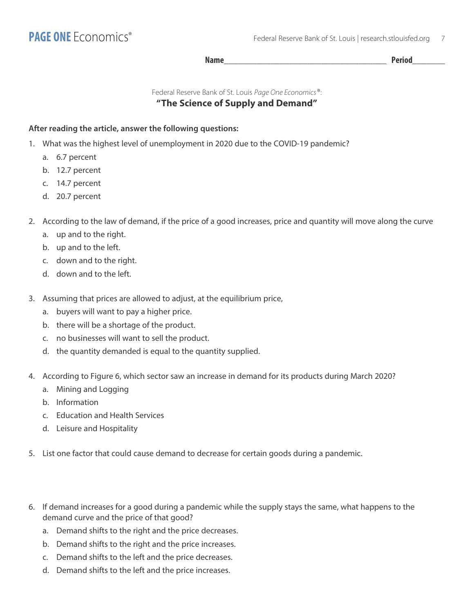**Name\_\_\_\_\_\_\_\_\_\_\_\_\_\_\_\_\_\_\_\_\_\_\_\_\_\_\_\_\_\_\_\_\_\_\_ Period\_\_\_\_\_\_\_**

Federal Reserve Bank of St. Louis *Page One Economics*®:

## **"The Science of Supply and Demand"**

### **After reading the article, answer the following questions:**

- 1. What was the highest level of unemployment in 2020 due to the COVID-19 pandemic?
	- a. 6.7 percent
	- b. 12.7 percent
	- c. 14.7 percent
	- d. 20.7 percent

2. According to the law of demand, if the price of a good increases, price and quantity will move along the curve

- a. up and to the right.
- b. up and to the left.
- c. down and to the right.
- d. down and to the left.
- 3. Assuming that prices are allowed to adjust, at the equilibrium price,
	- a. buyers will want to pay a higher price.
	- b. there will be a shortage of the product.
	- c. no businesses will want to sell the product.
	- d. the quantity demanded is equal to the quantity supplied.
- 4. According to Figure 6, which sector saw an increase in demand for its products during March 2020?
	- a. Mining and Logging
	- b. Information
	- c. Education and Health Services
	- d. Leisure and Hospitality
- 5. List one factor that could cause demand to decrease for certain goods during a pandemic.
- 6. If demand increases for a good during a pandemic while the supply stays the same, what happens to the demand curve and the price of that good?
	- a. Demand shifts to the right and the price decreases.
	- b. Demand shifts to the right and the price increases.
	- c. Demand shifts to the left and the price decreases.
	- d. Demand shifts to the left and the price increases.